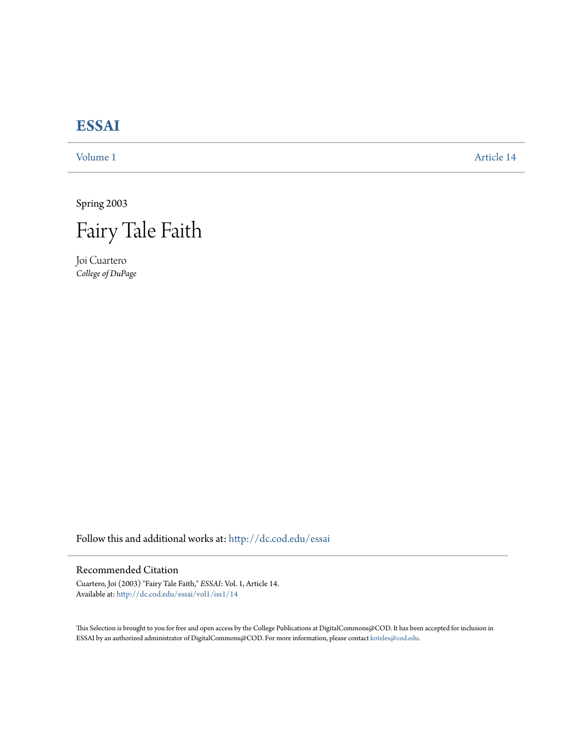## **[ESSAI](http://dc.cod.edu/essai?utm_source=dc.cod.edu%2Fessai%2Fvol1%2Fiss1%2F14&utm_medium=PDF&utm_campaign=PDFCoverPages)**

[Volume 1](http://dc.cod.edu/essai/vol1?utm_source=dc.cod.edu%2Fessai%2Fvol1%2Fiss1%2F14&utm_medium=PDF&utm_campaign=PDFCoverPages) [Article 14](http://dc.cod.edu/essai/vol1/iss1/14?utm_source=dc.cod.edu%2Fessai%2Fvol1%2Fiss1%2F14&utm_medium=PDF&utm_campaign=PDFCoverPages)

Spring 2003



Joi Cuartero *College of DuPage*

Follow this and additional works at: [http://dc.cod.edu/essai](http://dc.cod.edu/essai?utm_source=dc.cod.edu%2Fessai%2Fvol1%2Fiss1%2F14&utm_medium=PDF&utm_campaign=PDFCoverPages)

## Recommended Citation

Cuartero, Joi (2003) "Fairy Tale Faith," *ESSAI*: Vol. 1, Article 14. Available at: [http://dc.cod.edu/essai/vol1/iss1/14](http://dc.cod.edu/essai/vol1/iss1/14?utm_source=dc.cod.edu%2Fessai%2Fvol1%2Fiss1%2F14&utm_medium=PDF&utm_campaign=PDFCoverPages)

This Selection is brought to you for free and open access by the College Publications at DigitalCommons@COD. It has been accepted for inclusion in ESSAI by an authorized administrator of DigitalCommons@COD. For more information, please contact [koteles@cod.edu](mailto:koteles@cod.edu).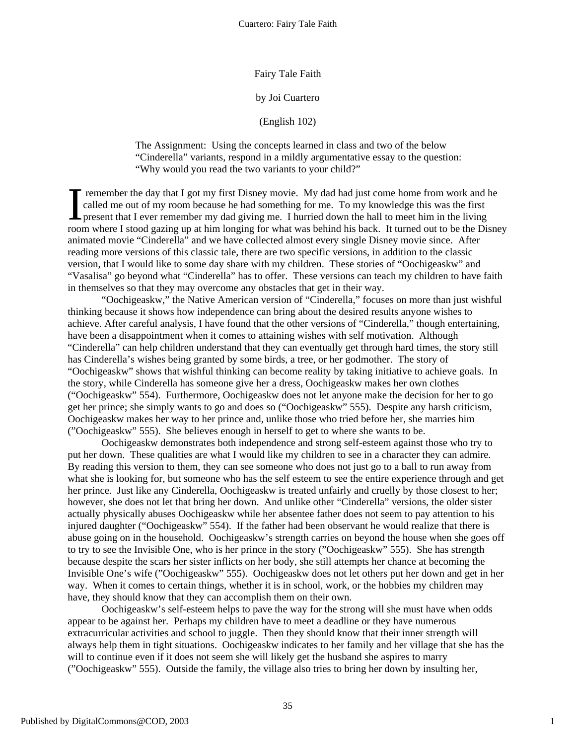Fairy Tale Faith

## by Joi Cuartero

(English 102)

The Assignment: Using the concepts learned in class and two of the below "Cinderella" variants, respond in a mildly argumentative essay to the question: "Why would you read the two variants to your child?"

Fremember the day that I got my first Disney movie. My dad had just come home from work and he called me out of my room because he had something for me. To my knowledge this was the first present that I ever remember my dad giving me. I hurried down the hall to meet him in the living The remember the day that I got my first Disney movie. My dad had just come home from work and he called me out of my room because he had something for me. To my knowledge this was the first present that I ever remember my animated movie "Cinderella" and we have collected almost every single Disney movie since. After reading more versions of this classic tale, there are two specific versions, in addition to the classic version, that I would like to some day share with my children. These stories of "Oochigeaskw" and "Vasalisa" go beyond what "Cinderella" has to offer. These versions can teach my children to have faith in themselves so that they may overcome any obstacles that get in their way.

"Oochigeaskw," the Native American version of "Cinderella," focuses on more than just wishful thinking because it shows how independence can bring about the desired results anyone wishes to achieve. After careful analysis, I have found that the other versions of "Cinderella," though entertaining, have been a disappointment when it comes to attaining wishes with self motivation. Although "Cinderella" can help children understand that they can eventually get through hard times, the story still has Cinderella's wishes being granted by some birds, a tree, or her godmother. The story of "Oochigeaskw" shows that wishful thinking can become reality by taking initiative to achieve goals. In the story, while Cinderella has someone give her a dress, Oochigeaskw makes her own clothes ("Oochigeaskw" 554). Furthermore, Oochigeaskw does not let anyone make the decision for her to go get her prince; she simply wants to go and does so ("Oochigeaskw" 555). Despite any harsh criticism, Oochigeaskw makes her way to her prince and, unlike those who tried before her, she marries him ("Oochigeaskw" 555). She believes enough in herself to get to where she wants to be.

Oochigeaskw demonstrates both independence and strong self-esteem against those who try to put her down. These qualities are what I would like my children to see in a character they can admire. By reading this version to them, they can see someone who does not just go to a ball to run away from what she is looking for, but someone who has the self esteem to see the entire experience through and get her prince. Just like any Cinderella, Oochigeaskw is treated unfairly and cruelly by those closest to her; however, she does not let that bring her down. And unlike other "Cinderella" versions, the older sister actually physically abuses Oochigeaskw while her absentee father does not seem to pay attention to his injured daughter ("Oochigeaskw" 554). If the father had been observant he would realize that there is abuse going on in the household. Oochigeaskw's strength carries on beyond the house when she goes off to try to see the Invisible One, who is her prince in the story ("Oochigeaskw" 555). She has strength because despite the scars her sister inflicts on her body, she still attempts her chance at becoming the Invisible One's wife ("Oochigeaskw" 555). Oochigeaskw does not let others put her down and get in her way. When it comes to certain things, whether it is in school, work, or the hobbies my children may have, they should know that they can accomplish them on their own.

Oochigeaskw's self-esteem helps to pave the way for the strong will she must have when odds appear to be against her. Perhaps my children have to meet a deadline or they have numerous extracurricular activities and school to juggle. Then they should know that their inner strength will always help them in tight situations. Oochigeaskw indicates to her family and her village that she has the will to continue even if it does not seem she will likely get the husband she aspires to marry ("Oochigeaskw" 555). Outside the family, the village also tries to bring her down by insulting her,

1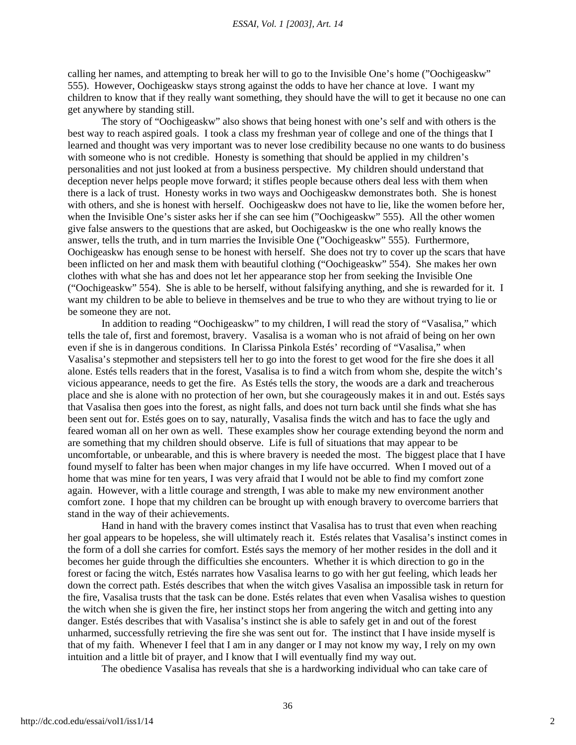calling her names, and attempting to break her will to go to the Invisible One's home ("Oochigeaskw" 555). However, Oochigeaskw stays strong against the odds to have her chance at love. I want my children to know that if they really want something, they should have the will to get it because no one can get anywhere by standing still.

The story of "Oochigeaskw" also shows that being honest with one's self and with others is the best way to reach aspired goals. I took a class my freshman year of college and one of the things that I learned and thought was very important was to never lose credibility because no one wants to do business with someone who is not credible. Honesty is something that should be applied in my children's personalities and not just looked at from a business perspective. My children should understand that deception never helps people move forward; it stifles people because others deal less with them when there is a lack of trust. Honesty works in two ways and Oochigeaskw demonstrates both. She is honest with others, and she is honest with herself. Oochigeaskw does not have to lie, like the women before her, when the Invisible One's sister asks her if she can see him ("Oochigeaskw" 555). All the other women give false answers to the questions that are asked, but Oochigeaskw is the one who really knows the answer, tells the truth, and in turn marries the Invisible One ("Oochigeaskw" 555). Furthermore, Oochigeaskw has enough sense to be honest with herself. She does not try to cover up the scars that have been inflicted on her and mask them with beautiful clothing ("Oochigeaskw" 554). She makes her own clothes with what she has and does not let her appearance stop her from seeking the Invisible One ("Oochigeaskw" 554). She is able to be herself, without falsifying anything, and she is rewarded for it. I want my children to be able to believe in themselves and be true to who they are without trying to lie or be someone they are not.

In addition to reading "Oochigeaskw" to my children, I will read the story of "Vasalisa," which tells the tale of, first and foremost, bravery. Vasalisa is a woman who is not afraid of being on her own even if she is in dangerous conditions. In Clarissa Pinkola Estés' recording of "Vasalisa," when Vasalisa's stepmother and stepsisters tell her to go into the forest to get wood for the fire she does it all alone. Estés tells readers that in the forest, Vasalisa is to find a witch from whom she, despite the witch's vicious appearance, needs to get the fire. As Estés tells the story, the woods are a dark and treacherous place and she is alone with no protection of her own, but she courageously makes it in and out. Estés says that Vasalisa then goes into the forest, as night falls, and does not turn back until she finds what she has been sent out for. Estés goes on to say, naturally, Vasalisa finds the witch and has to face the ugly and feared woman all on her own as well. These examples show her courage extending beyond the norm and are something that my children should observe. Life is full of situations that may appear to be uncomfortable, or unbearable, and this is where bravery is needed the most. The biggest place that I have found myself to falter has been when major changes in my life have occurred. When I moved out of a home that was mine for ten years, I was very afraid that I would not be able to find my comfort zone again. However, with a little courage and strength, I was able to make my new environment another comfort zone. I hope that my children can be brought up with enough bravery to overcome barriers that stand in the way of their achievements.

Hand in hand with the bravery comes instinct that Vasalisa has to trust that even when reaching her goal appears to be hopeless, she will ultimately reach it. Estés relates that Vasalisa's instinct comes in the form of a doll she carries for comfort. Estés says the memory of her mother resides in the doll and it becomes her guide through the difficulties she encounters. Whether it is which direction to go in the forest or facing the witch, Estés narrates how Vasalisa learns to go with her gut feeling, which leads her down the correct path. Estés describes that when the witch gives Vasalisa an impossible task in return for the fire, Vasalisa trusts that the task can be done. Estés relates that even when Vasalisa wishes to question the witch when she is given the fire, her instinct stops her from angering the witch and getting into any danger. Estés describes that with Vasalisa's instinct she is able to safely get in and out of the forest unharmed, successfully retrieving the fire she was sent out for. The instinct that I have inside myself is that of my faith. Whenever I feel that I am in any danger or I may not know my way, I rely on my own intuition and a little bit of prayer, and I know that I will eventually find my way out.

The obedience Vasalisa has reveals that she is a hardworking individual who can take care of